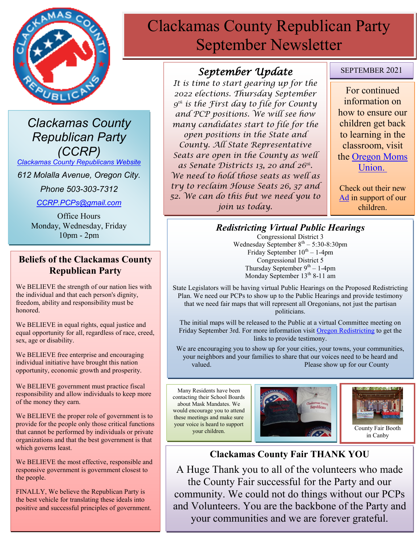

*Clackamas County Republican Party (CCRP)*

*[Clackamas County Republicans Website](https://www.clackamascountyrepublicans.org/)*

*612 Molalla Avenue, Oregon City.* 

*Phone 503-303-7312*

*[CCRP.PCPs@gmail.com](mailto:CCRP.PCPs@gmail.com)*

Office Hours Monday, Wednesday, Friday 10pm - 2pm

#### **Beliefs of the Clackamas County Republican Party**

We BELIEVE the strength of our nation lies with the individual and that each person's dignity, freedom, ability and responsibility must be honored.

We BELIEVE in equal rights, equal justice and equal opportunity for all, regardless of race, creed, sex, age or disability.

We BELIEVE free enterprise and encouraging individual initiative have brought this nation opportunity, economic growth and prosperity.

We BELIEVE government must practice fiscal responsibility and allow individuals to keep more of the money they earn.

We BELIEVE the proper role of government is to provide for the people only those critical functions that cannot be performed by individuals or private organizations and that the best government is that which governs least.

We BELIEVE the most effective, responsible and responsive government is government closest to the people.

FINALLY, We believe the Republican Party is the best vehicle for translating these ideals into positive and successful principles of government.

# Clackamas County Republican Party September Newsletter

## *September Update*

*It is time to start gearing up for the 2022 elections. Thursday September 9 th is the First day to file for County and PCP positions. We will see how many candidates start to file for the open positions in the State and County. All State Representative Seats are open in the County as well as Senate Districts 13, 20 and 26th . We need to hold those seats as well as try to reclaim House Seats 26, 37 and 52. We can do this but we need you to join us today.*

#### SEPTEMBER 2021

For continued information on how to ensure our children get back to learning in the classroom, visit the [Oregon Moms](https://www.oregonmomsunion.com/)  [Union.](https://www.oregonmomsunion.com/)

Check out their new [Ad](https://www.facebook.com/oregonmomsunion/videos/530880411358307) in support of our children.

# *Redistricting Virtual Public Hearings*

Congressional District 3 Wednesday September  $8^{\text{th}} - 5:30 - 8:30 \text{pm}$ Friday September  $10^{th} - 1$ -4pm Congressional District 5 Thursday September  $9<sup>th</sup> - 1-4$ pm Monday September 13<sup>th</sup> 8-11 am

State Legislators will be having virtual Public Hearings on the Proposed Redistricting Plan. We need our PCPs to show up to the Public Hearings and provide testimony that we need fair maps that will represent all Oregonians, not just the partisan politicians.

The initial maps will be released to the Public at a virtual Committee meeting on Friday September 3rd. For more information visit [Oregon Redistricting](https://www.oregonlegislature.gov/redistricting) to get the links to provide testimony.

 We are encouraging you to show up for your cities, your towns, your communities, your neighbors and your families to share that our voices need to be heard and valued. **Please show up for our County** 

Many Residents have been contacting their School Boards about Mask Mandates. We would encourage you to attend these meetings and make sure your voice is heard to support





in Canby

### **Clackamas County Fair THANK YOU**

A Huge Thank you to all of the volunteers who made the County Fair successful for the Party and our community. We could not do things without our PCPs and Volunteers. You are the backbone of the Party and your communities and we are forever grateful.